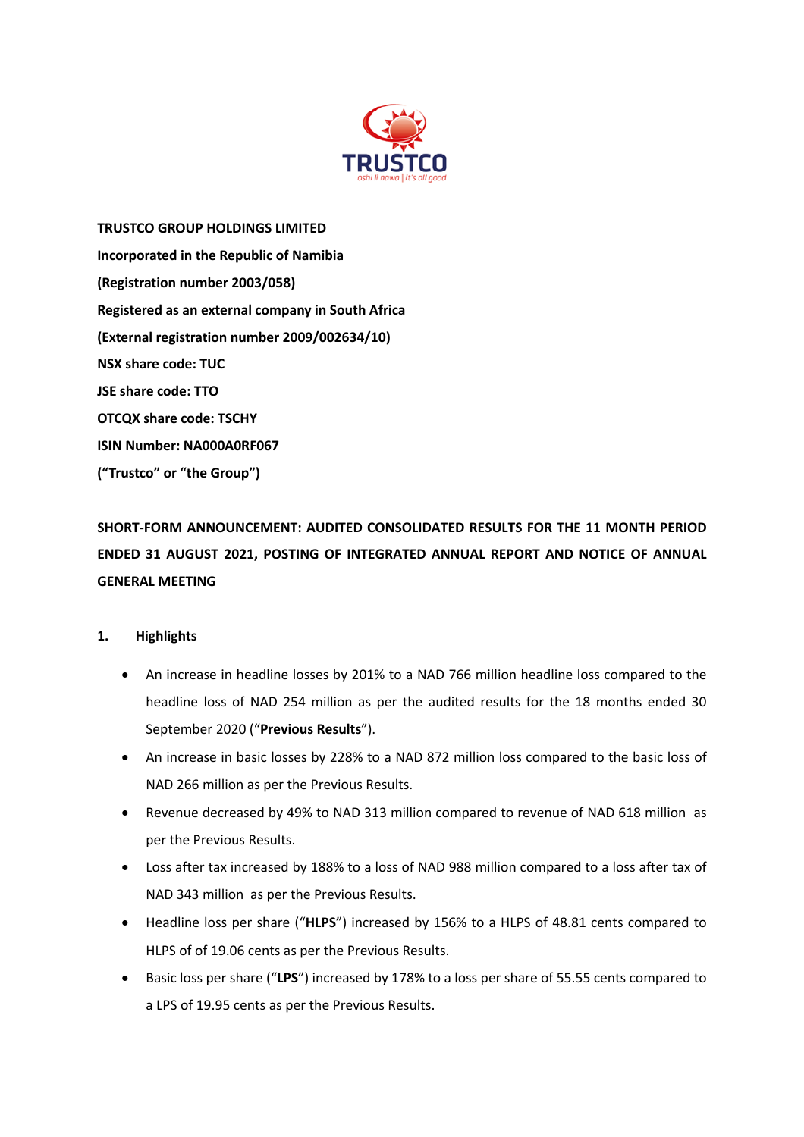

**TRUSTCO GROUP HOLDINGS LIMITED Incorporated in the Republic of Namibia (Registration number 2003/058) Registered as an external company in South Africa (External registration number 2009/002634/10) NSX share code: TUC JSE share code: TTO OTCQX share code: TSCHY ISIN Number: NA000A0RF067 ("Trustco" or "the Group")**

**SHORT-FORM ANNOUNCEMENT: AUDITED CONSOLIDATED RESULTS FOR THE 11 MONTH PERIOD ENDED 31 AUGUST 2021, POSTING OF INTEGRATED ANNUAL REPORT AND NOTICE OF ANNUAL GENERAL MEETING**

# **1. Highlights**

- An increase in headline losses by 201% to a NAD 766 million headline loss compared to the headline loss of NAD 254 million as per the audited results for the 18 months ended 30 September 2020 ("**Previous Results**").
- An increase in basic losses by 228% to a NAD 872 million loss compared to the basic loss of NAD 266 million as per the Previous Results.
- Revenue decreased by 49% to NAD 313 million compared to revenue of NAD 618 million as per the Previous Results.
- Loss after tax increased by 188% to a loss of NAD 988 million compared to a loss after tax of NAD 343 million as per the Previous Results.
- Headline loss per share ("**HLPS**") increased by 156% to a HLPS of 48.81 cents compared to HLPS of of 19.06 cents as per the Previous Results.
- Basic loss per share ("**LPS**") increased by 178% to a loss per share of 55.55 cents compared to a LPS of 19.95 cents as per the Previous Results.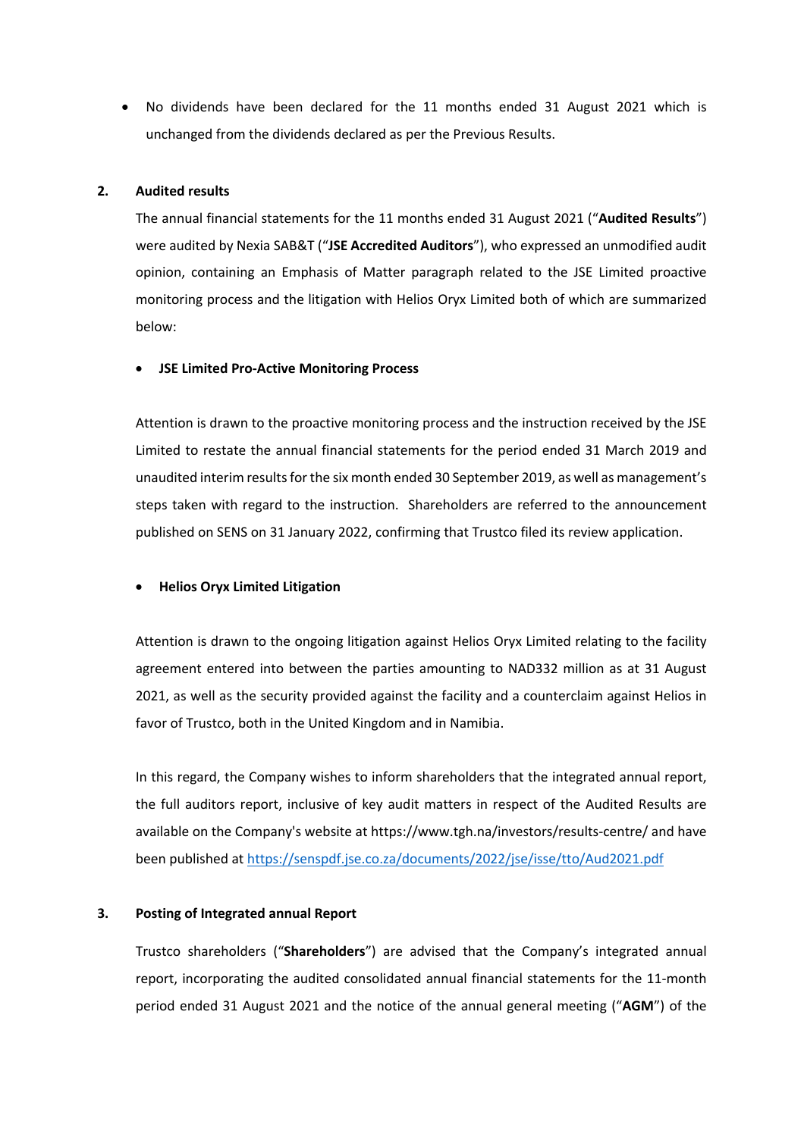• No dividends have been declared for the 11 months ended 31 August 2021 which is unchanged from the dividends declared as per the Previous Results.

## **2. Audited results**

The annual financial statements for the 11 months ended 31 August 2021 ("**Audited Results**") were audited by Nexia SAB&T ("**JSE Accredited Auditors**"), who expressed an unmodified audit opinion, containing an Emphasis of Matter paragraph related to the JSE Limited proactive monitoring process and the litigation with Helios Oryx Limited both of which are summarized below:

#### • **JSE Limited Pro-Active Monitoring Process**

Attention is drawn to the proactive monitoring process and the instruction received by the JSE Limited to restate the annual financial statements for the period ended 31 March 2019 and unaudited interim results for the six month ended 30 September 2019, as well as management's steps taken with regard to the instruction. Shareholders are referred to the announcement published on SENS on 31 January 2022, confirming that Trustco filed its review application.

#### • **Helios Oryx Limited Litigation**

Attention is drawn to the ongoing litigation against Helios Oryx Limited relating to the facility agreement entered into between the parties amounting to NAD332 million as at 31 August 2021, as well as the security provided against the facility and a counterclaim against Helios in favor of Trustco, both in the United Kingdom and in Namibia.

In this regard, the Company wishes to inform shareholders that the integrated annual report, the full auditors report, inclusive of key audit matters in respect of the Audited Results are available on the Company's website at https://www.tgh.na/investors/results-centre/ and have been published at https://senspdf.jse.co.za/documents/2022/jse/isse/tto/Aud2021.pdf

#### **3. Posting of Integrated annual Report**

Trustco shareholders ("**Shareholders**") are advised that the Company's integrated annual report, incorporating the audited consolidated annual financial statements for the 11-month period ended 31 August 2021 and the notice of the annual general meeting ("**AGM**") of the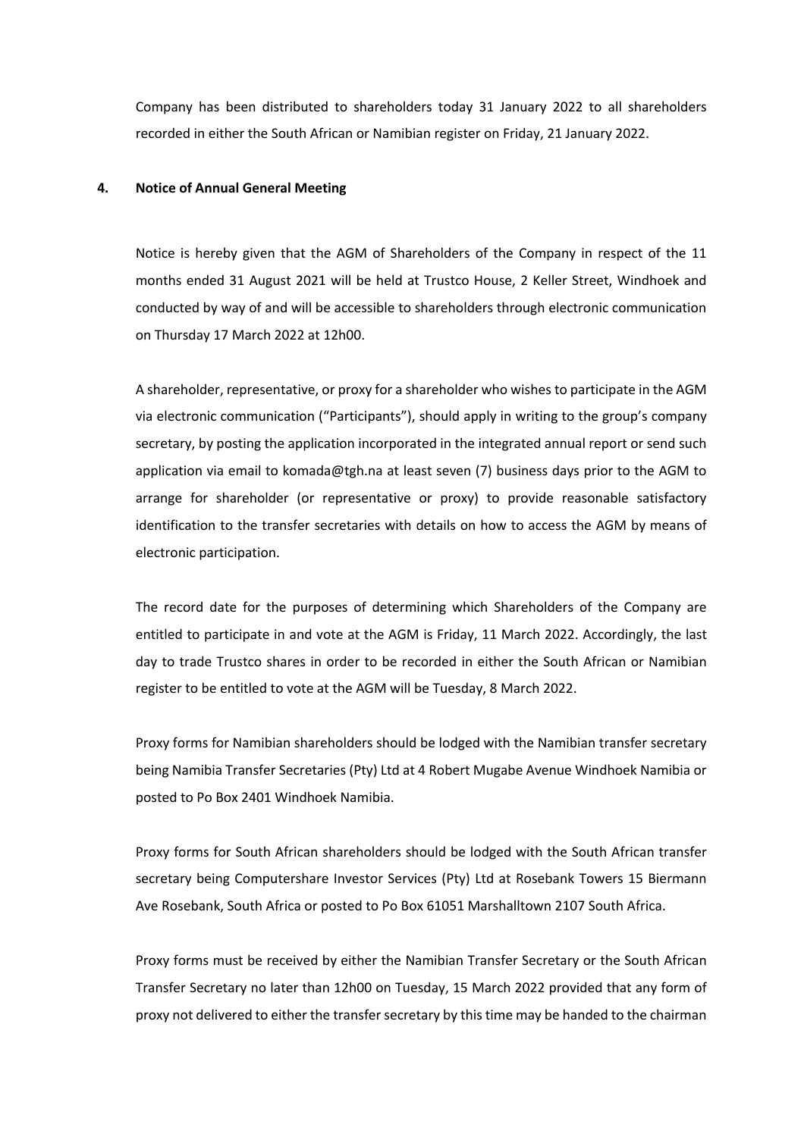Company has been distributed to shareholders today 31 January 2022 to all shareholders recorded in either the South African or Namibian register on Friday, 21 January 2022.

## **4. Notice of Annual General Meeting**

Notice is hereby given that the AGM of Shareholders of the Company in respect of the 11 months ended 31 August 2021 will be held at Trustco House, 2 Keller Street, Windhoek and conducted by way of and will be accessible to shareholders through electronic communication on Thursday 17 March 2022 at 12h00.

A shareholder, representative, or proxy for a shareholder who wishes to participate in the AGM via electronic communication ("Participants"), should apply in writing to the group's company secretary, by posting the application incorporated in the integrated annual report or send such application via email to komada@tgh.na at least seven (7) business days prior to the AGM to arrange for shareholder (or representative or proxy) to provide reasonable satisfactory identification to the transfer secretaries with details on how to access the AGM by means of electronic participation.

The record date for the purposes of determining which Shareholders of the Company are entitled to participate in and vote at the AGM is Friday, 11 March 2022. Accordingly, the last day to trade Trustco shares in order to be recorded in either the South African or Namibian register to be entitled to vote at the AGM will be Tuesday, 8 March 2022.

Proxy forms for Namibian shareholders should be lodged with the Namibian transfer secretary being Namibia Transfer Secretaries (Pty) Ltd at 4 Robert Mugabe Avenue Windhoek Namibia or posted to Po Box 2401 Windhoek Namibia.

Proxy forms for South African shareholders should be lodged with the South African transfer secretary being Computershare Investor Services (Pty) Ltd at Rosebank Towers 15 Biermann Ave Rosebank, South Africa or posted to Po Box 61051 Marshalltown 2107 South Africa.

Proxy forms must be received by either the Namibian Transfer Secretary or the South African Transfer Secretary no later than 12h00 on Tuesday, 15 March 2022 provided that any form of proxy not delivered to either the transfer secretary by this time may be handed to the chairman